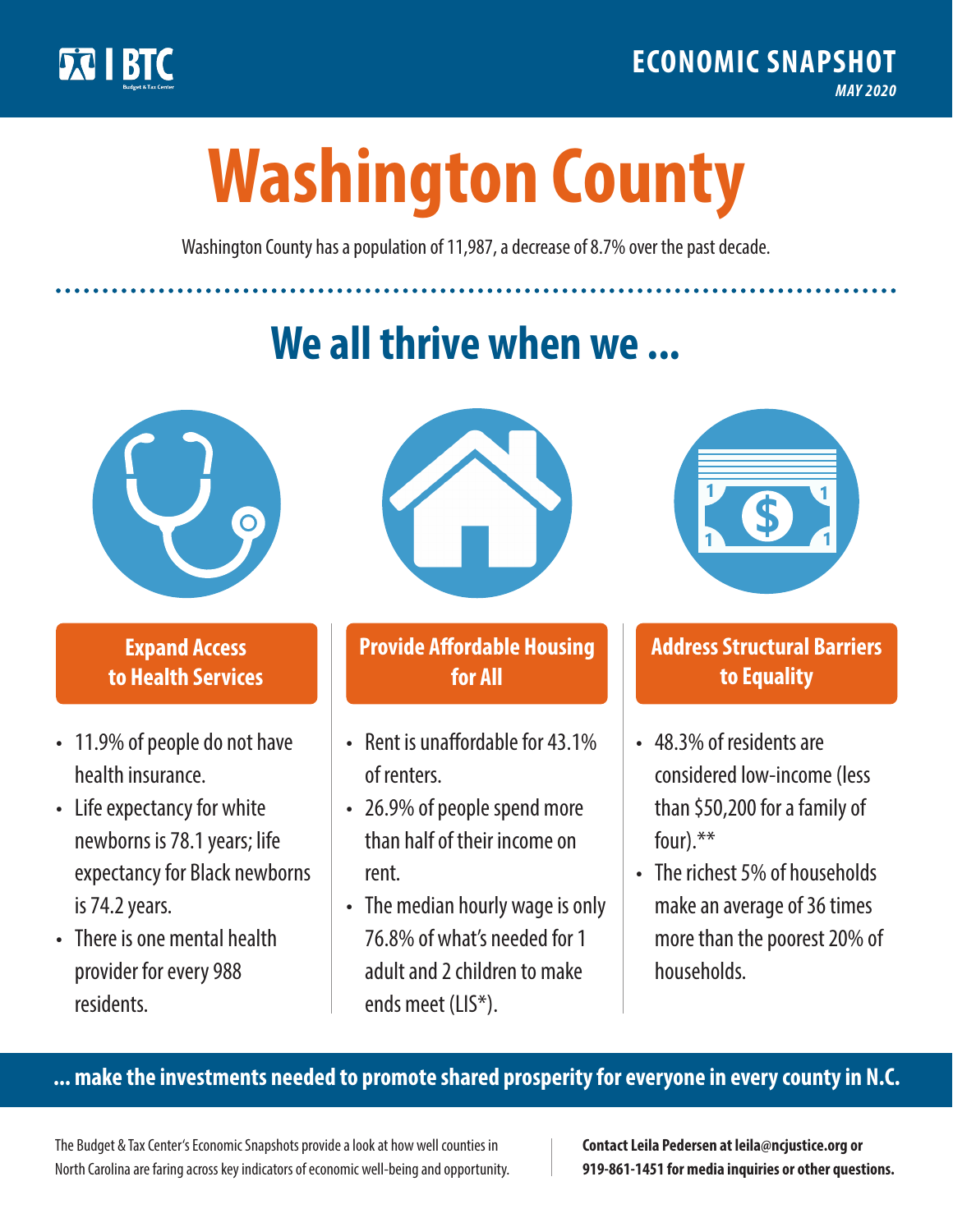

**1**

# **Washington County**

Washington County has a population of 11,987, a decrease of 8.7% over the past decade.

# **We all thrive when we ...**



**\$ <sup>1</sup>**

**\$ <sup>1</sup>**

## **Expand Access to Health Services**

- 11.9% of people do not have health insurance.
- Life expectancy for white newborns is 78.1years; life expectancy for Black newborns is 74.2 years.
- There is one mental health provider for every 988 residents.



## **Provide Affordable Housing for All**

- Rent is unaffordable for 43.1% of renters.
- 26.9% of people spend more than half of their income on rent.
- The median hourly wage is only 76.8% of what's needed for 1 adult and 2 children to make ends meet (LIS\*).



## **Address Structural Barriers to Equality**

- 48.3% of residents are considered low-income (less than \$50,200 for a family of four).\*\*
- The richest 5% of households make an average of 36 times more than the poorest 20% of households.

#### **... make the investments needed to promote shared prosperity for everyone in every county in N.C.**

The Budget & Tax Center's Economic Snapshots provide a look at how well counties in North Carolina are faring across key indicators of economic well-being and opportunity.